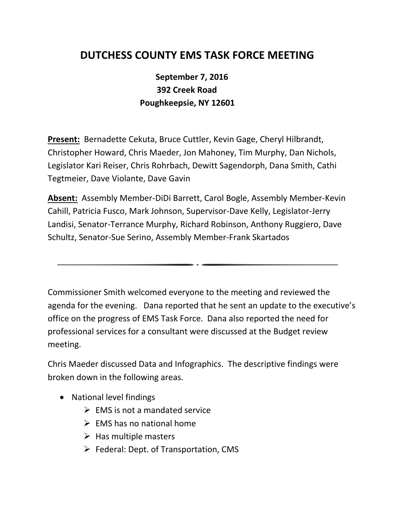## **DUTCHESS COUNTY EMS TASK FORCE MEETING**

## **September 7, 2016 392 Creek Road Poughkeepsie, NY 12601**

**Present:** Bernadette Cekuta, Bruce Cuttler, Kevin Gage, Cheryl Hilbrandt, Christopher Howard, Chris Maeder, Jon Mahoney, Tim Murphy, Dan Nichols, Legislator Kari Reiser, Chris Rohrbach, Dewitt Sagendorph, Dana Smith, Cathi Tegtmeier, Dave Violante, Dave Gavin

**Absent:** Assembly Member-DiDi Barrett, Carol Bogle, Assembly Member-Kevin Cahill, Patricia Fusco, Mark Johnson, Supervisor-Dave Kelly, Legislator-Jerry Landisi, Senator-Terrance Murphy, Richard Robinson, Anthony Ruggiero, Dave Schultz, Senator-Sue Serino, Assembly Member-Frank Skartados

Commissioner Smith welcomed everyone to the meeting and reviewed the agenda for the evening. Dana reported that he sent an update to the executive's office on the progress of EMS Task Force. Dana also reported the need for professional services for a consultant were discussed at the Budget review meeting.

Chris Maeder discussed Data and Infographics. The descriptive findings were broken down in the following areas.

- National level findings
	- $\triangleright$  EMS is not a mandated service
	- $\triangleright$  EMS has no national home
	- $\triangleright$  Has multiple masters
	- $\triangleright$  Federal: Dept. of Transportation, CMS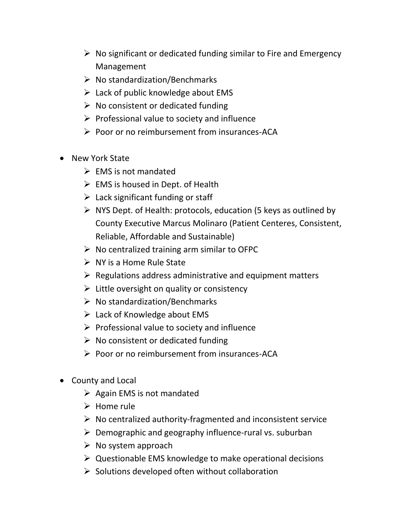- $\triangleright$  No significant or dedicated funding similar to Fire and Emergency Management
- $\triangleright$  No standardization/Benchmarks
- $\triangleright$  Lack of public knowledge about EMS
- $\triangleright$  No consistent or dedicated funding
- $\triangleright$  Professional value to society and influence
- $\triangleright$  Poor or no reimbursement from insurances-ACA
- New York State
	- $\triangleright$  EMS is not mandated
	- $\triangleright$  EMS is housed in Dept. of Health
	- $\triangleright$  Lack significant funding or staff
	- $\triangleright$  NYS Dept. of Health: protocols, education (5 keys as outlined by County Executive Marcus Molinaro (Patient Centeres, Consistent, Reliable, Affordable and Sustainable)
	- $\triangleright$  No centralized training arm similar to OFPC
	- $\triangleright$  NY is a Home Rule State
	- $\triangleright$  Regulations address administrative and equipment matters
	- $\triangleright$  Little oversight on quality or consistency
	- $\triangleright$  No standardization/Benchmarks
	- $\triangleright$  Lack of Knowledge about EMS
	- $\triangleright$  Professional value to society and influence
	- $\triangleright$  No consistent or dedicated funding
	- $\triangleright$  Poor or no reimbursement from insurances-ACA
- County and Local
	- $\triangleright$  Again EMS is not mandated
	- $\triangleright$  Home rule
	- $\triangleright$  No centralized authority-fragmented and inconsistent service
	- $\triangleright$  Demographic and geography influence-rural vs. suburban
	- $\triangleright$  No system approach
	- $\triangleright$  Questionable EMS knowledge to make operational decisions
	- $\triangleright$  Solutions developed often without collaboration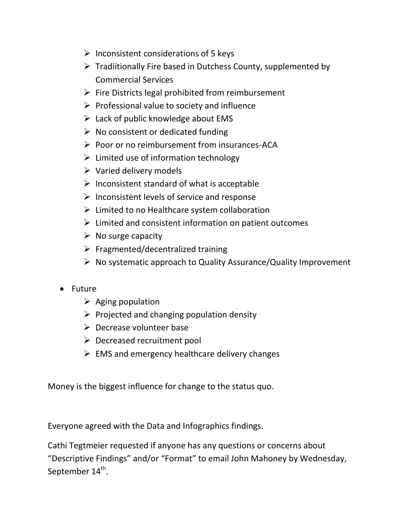- $\triangleright$  Inconsistent considerations of 5 keys
- $\triangleright$  Tradiitionally Fire based in Dutchess County, supplemented by Commercial Services
- $\triangleright$  Fire Districts legal prohibited from reimbursement
- $\triangleright$  Professional value to society and influence
- $\triangleright$  Lack of public knowledge about EMS
- $\triangleright$  No consistent or dedicated funding
- $\triangleright$  Poor or no reimbursement from insurances-ACA
- $\triangleright$  Limited use of information technology
- $\triangleright$  Varied delivery models
- $\triangleright$  Inconsistent standard of what is acceptable
- $\triangleright$  Inconsistent levels of service and response
- $\triangleright$  Limited to no Healthcare system collaboration
- Limited and consistent information on patient outcomes
- $\triangleright$  No surge capacity
- $\triangleright$  Fragmented/decentralized training
- $\triangleright$  No systematic approach to Quality Assurance/Quality Improvement
- Future
	- $\triangleright$  Aging population
	- $\triangleright$  Projected and changing population density
	- $\triangleright$  Decrease volunteer base
	- $\triangleright$  Decreased recruitment pool
	- $\triangleright$  EMS and emergency healthcare delivery changes

Money is the biggest influence for change to the status quo.

Everyone agreed with the Data and Infographics findings.

Cathi Tegtmeier requested if anyone has any questions or concerns about "Descriptive Findings" and/or "Format" to email John Mahoney by Wednesday, September 14 $^{\rm th}$ .